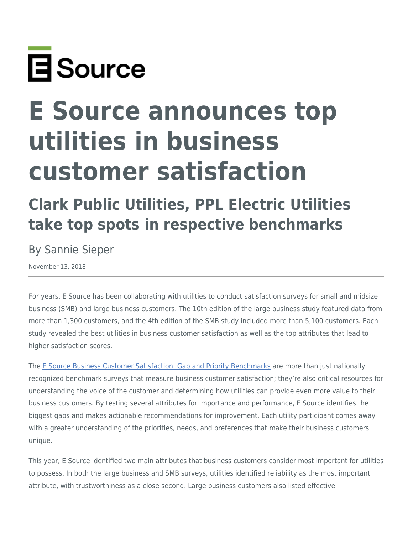

## **E Source announces top utilities in business customer satisfaction**

## **Clark Public Utilities, PPL Electric Utilities take top spots in respective benchmarks**

By Sannie Sieper

November 13, 2018

For years, E Source has been collaborating with utilities to conduct satisfaction surveys for small and midsize business (SMB) and large business customers. The 10th edition of the large business study featured data from more than 1,300 customers, and the 4th edition of the SMB study included more than 5,100 customers. Each study revealed the best utilities in business customer satisfaction as well as the top attributes that lead to higher satisfaction scores.

The [E Source Business Customer Satisfaction: Gap and Priority Benchmarks](https://www.esource.com/gpb) are more than just nationally recognized benchmark surveys that measure business customer satisfaction; they're also critical resources for understanding the voice of the customer and determining how utilities can provide even more value to their business customers. By testing several attributes for importance and performance, E Source identifies the biggest gaps and makes actionable recommendations for improvement. Each utility participant comes away with a greater understanding of the priorities, needs, and preferences that make their business customers unique.

This year, E Source identified two main attributes that business customers consider most important for utilities to possess. In both the large business and SMB surveys, utilities identified reliability as the most important attribute, with trustworthiness as a close second. Large business customers also listed effective